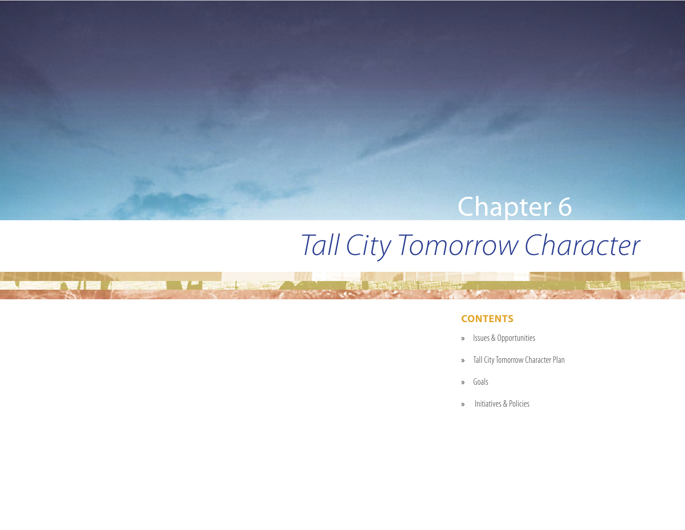# Chapter 6

# *Tall City Tomorrow Character*

**BEARED CO.** 

**NET BELLET** 

ag vije je ka

## **CONTENTS**

- » Issues & Opportunities
- » Tall City Tomorrow Character Plan
- » Goals
- » Initiatives & Policies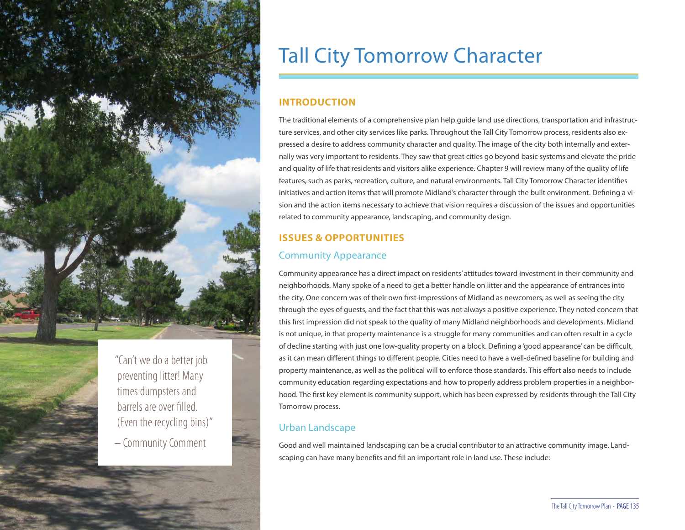

"Can't we do a better job preventing litter! Many times dumpsters and barrels are over filled. (Even the recycling bins)" – Community Comment

## Tall City Tomorrow Character

## **INTRODUCTION**

The traditional elements of a comprehensive plan help guide land use directions, transportation and infrastructure services, and other city services like parks. Throughout the Tall City Tomorrow process, residents also expressed a desire to address community character and quality. The image of the city both internally and externally was very important to residents. They saw that great cities go beyond basic systems and elevate the pride and quality of life that residents and visitors alike experience. Chapter 9 will review many of the quality of life features, such as parks, recreation, culture, and natural environments. Tall City Tomorrow Character identifies initiatives and action items that will promote Midland's character through the built environment. Defining a vision and the action items necessary to achieve that vision requires a discussion of the issues and opportunities related to community appearance, landscaping, and community design.

## **ISSUES & OPPORTUNITIES**

## Community Appearance

Community appearance has a direct impact on residents' attitudes toward investment in their community and neighborhoods. Many spoke of a need to get a better handle on litter and the appearance of entrances into the city. One concern was of their own first-impressions of Midland as newcomers, as well as seeing the city through the eyes of guests, and the fact that this was not always a positive experience. They noted concern that this first impression did not speak to the quality of many Midland neighborhoods and developments. Midland is not unique, in that property maintenance is a struggle for many communities and can often result in a cycle of decline starting with just one low-quality property on a block. Defining a 'good appearance' can be difficult, as it can mean different things to different people. Cities need to have a well-defined baseline for building and property maintenance, as well as the political will to enforce those standards. This effort also needs to include community education regarding expectations and how to properly address problem properties in a neighborhood. The first key element is community support, which has been expressed by residents through the Tall City Tomorrow process.

## Urban Landscape

Good and well maintained landscaping can be a crucial contributor to an attractive community image. Landscaping can have many benefits and fill an important role in land use. These include: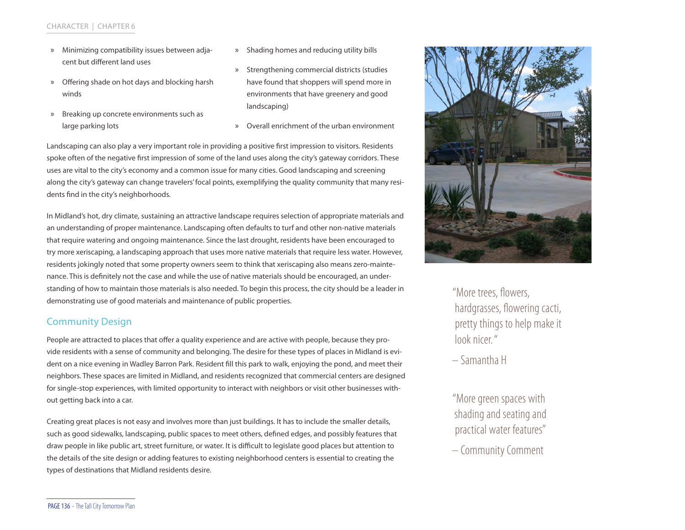#### CHARACTER | CHAPTER 6

- » Minimizing compatibility issues between adjacent but different land uses
- » Offering shade on hot days and blocking harsh winds
- » Breaking up concrete environments such as large parking lots
- » Shading homes and reducing utility bills
- » Strengthening commercial districts (studies have found that shoppers will spend more in environments that have greenery and good landscaping)
- » Overall enrichment of the urban environment

Landscaping can also play a very important role in providing a positive first impression to visitors. Residents spoke often of the negative first impression of some of the land uses along the city's gateway corridors. These uses are vital to the city's economy and a common issue for many cities. Good landscaping and screening along the city's gateway can change travelers' focal points, exemplifying the quality community that many residents find in the city's neighborhoods.

In Midland's hot, dry climate, sustaining an attractive landscape requires selection of appropriate materials and an understanding of proper maintenance. Landscaping often defaults to turf and other non-native materials that require watering and ongoing maintenance. Since the last drought, residents have been encouraged to try more xeriscaping, a landscaping approach that uses more native materials that require less water. However, residents jokingly noted that some property owners seem to think that xeriscaping also means zero-maintenance. This is definitely not the case and while the use of native materials should be encouraged, an understanding of how to maintain those materials is also needed. To begin this process, the city should be a leader in demonstrating use of good materials and maintenance of public properties.

## Community Design

People are attracted to places that offer a quality experience and are active with people, because they provide residents with a sense of community and belonging. The desire for these types of places in Midland is evident on a nice evening in Wadley Barron Park. Resident fill this park to walk, enjoying the pond, and meet their neighbors. These spaces are limited in Midland, and residents recognized that commercial centers are designed for single-stop experiences, with limited opportunity to interact with neighbors or visit other businesses without getting back into a car.

Creating great places is not easy and involves more than just buildings. It has to include the smaller details, such as good sidewalks, landscaping, public spaces to meet others, defined edges, and possibly features that draw people in like public art, street furniture, or water. It is difficult to legislate good places but attention to the details of the site design or adding features to existing neighborhood centers is essential to creating the types of destinations that Midland residents desire.



"More trees, flowers, hardgrasses, flowering cacti, pretty things to help make it look nicer. "

– Samantha H

"More green spaces with shading and seating and practical water features"

– Community Comment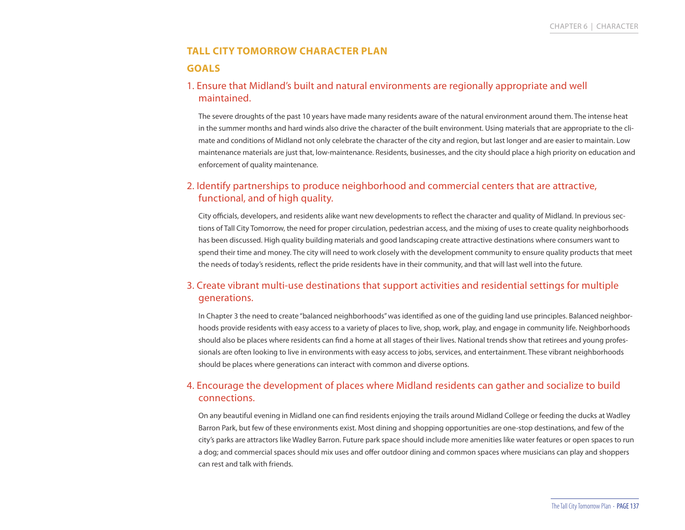#### **TALL CITY TOMORROW CHARACTER PLAN**

#### **GOALS**

## 1. Ensure that Midland's built and natural environments are regionally appropriate and well maintained.

The severe droughts of the past 10 years have made many residents aware of the natural environment around them. The intense heat in the summer months and hard winds also drive the character of the built environment. Using materials that are appropriate to the climate and conditions of Midland not only celebrate the character of the city and region, but last longer and are easier to maintain. Low maintenance materials are just that, low-maintenance. Residents, businesses, and the city should place a high priority on education and enforcement of quality maintenance.

### 2. Identify partnerships to produce neighborhood and commercial centers that are attractive, functional, and of high quality.

City officials, developers, and residents alike want new developments to reflect the character and quality of Midland. In previous sections of Tall City Tomorrow, the need for proper circulation, pedestrian access, and the mixing of uses to create quality neighborhoods has been discussed. High quality building materials and good landscaping create attractive destinations where consumers want to spend their time and money. The city will need to work closely with the development community to ensure quality products that meet the needs of today's residents, reflect the pride residents have in their community, and that will last well into the future.

## 3. Create vibrant multi-use destinations that support activities and residential settings for multiple generations.

In Chapter 3 the need to create "balanced neighborhoods" was identified as one of the guiding land use principles. Balanced neighborhoods provide residents with easy access to a variety of places to live, shop, work, play, and engage in community life. Neighborhoods should also be places where residents can find a home at all stages of their lives. National trends show that retirees and young professionals are often looking to live in environments with easy access to jobs, services, and entertainment. These vibrant neighborhoods should be places where generations can interact with common and diverse options.

## 4. Encourage the development of places where Midland residents can gather and socialize to build connections.

On any beautiful evening in Midland one can find residents enjoying the trails around Midland College or feeding the ducks at Wadley Barron Park, but few of these environments exist. Most dining and shopping opportunities are one-stop destinations, and few of the city's parks are attractors like Wadley Barron. Future park space should include more amenities like water features or open spaces to run a dog; and commercial spaces should mix uses and offer outdoor dining and common spaces where musicians can play and shoppers can rest and talk with friends.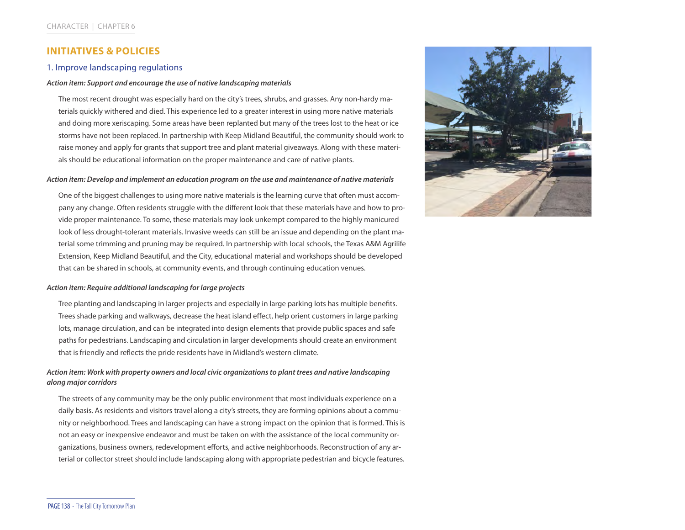### **INITIATIVES & POLICIES**

#### 1. Improve landscaping regulations

#### *Action item: Support and encourage the use of native landscaping materials*

The most recent drought was especially hard on the city's trees, shrubs, and grasses. Any non-hardy materials quickly withered and died. This experience led to a greater interest in using more native materials and doing more xeriscaping. Some areas have been replanted but many of the trees lost to the heat or ice storms have not been replaced. In partnership with Keep Midland Beautiful, the community should work to raise money and apply for grants that support tree and plant material giveaways. Along with these materials should be educational information on the proper maintenance and care of native plants.

#### *Action item: Develop and implement an education program on the use and maintenance of native materials*

One of the biggest challenges to using more native materials is the learning curve that often must accompany any change. Often residents struggle with the different look that these materials have and how to provide proper maintenance. To some, these materials may look unkempt compared to the highly manicured look of less drought-tolerant materials. Invasive weeds can still be an issue and depending on the plant material some trimming and pruning may be required. In partnership with local schools, the Texas A&M Agrilife Extension, Keep Midland Beautiful, and the City, educational material and workshops should be developed that can be shared in schools, at community events, and through continuing education venues.

#### *Action item: Require additional landscaping for large projects*

Tree planting and landscaping in larger projects and especially in large parking lots has multiple benefits. Trees shade parking and walkways, decrease the heat island effect, help orient customers in large parking lots, manage circulation, and can be integrated into design elements that provide public spaces and safe paths for pedestrians. Landscaping and circulation in larger developments should create an environment that is friendly and reflects the pride residents have in Midland's western climate.

#### *Action item: Work with property owners and local civic organizations to plant trees and native landscaping along major corridors*

The streets of any community may be the only public environment that most individuals experience on a daily basis. As residents and visitors travel along a city's streets, they are forming opinions about a community or neighborhood. Trees and landscaping can have a strong impact on the opinion that is formed. This is not an easy or inexpensive endeavor and must be taken on with the assistance of the local community organizations, business owners, redevelopment efforts, and active neighborhoods. Reconstruction of any arterial or collector street should include landscaping along with appropriate pedestrian and bicycle features.

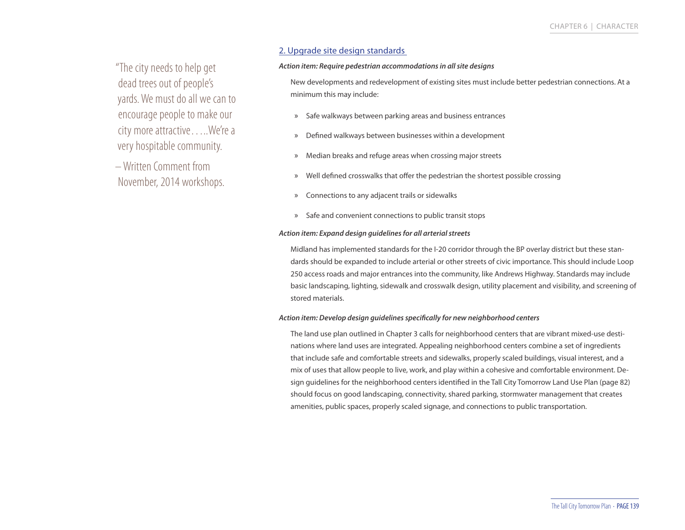"The city needs to help get dead trees out of people's yards. We must do all we can to encourage people to make our city more attractive…..We're a very hospitable community.

– Written Comment from November, 2014 workshops.

#### 2. Upgrade site design standards

#### *Action item: Require pedestrian accommodations in all site designs*

New developments and redevelopment of existing sites must include better pedestrian connections. At a minimum this may include:

- » Safe walkways between parking areas and business entrances
- » Defined walkways between businesses within a development
- » Median breaks and refuge areas when crossing major streets
- » Well defined crosswalks that offer the pedestrian the shortest possible crossing
- » Connections to any adjacent trails or sidewalks
- » Safe and convenient connections to public transit stops

#### *Action item: Expand design guidelines for all arterial streets*

Midland has implemented standards for the I-20 corridor through the BP overlay district but these standards should be expanded to include arterial or other streets of civic importance. This should include Loop 250 access roads and major entrances into the community, like Andrews Highway. Standards may include basic landscaping, lighting, sidewalk and crosswalk design, utility placement and visibility, and screening of stored materials.

#### *Action item: Develop design guidelines specifically for new neighborhood centers*

The land use plan outlined in Chapter 3 calls for neighborhood centers that are vibrant mixed-use destinations where land uses are integrated. Appealing neighborhood centers combine a set of ingredients that include safe and comfortable streets and sidewalks, properly scaled buildings, visual interest, and a mix of uses that allow people to live, work, and play within a cohesive and comfortable environment. Design guidelines for the neighborhood centers identified in the Tall City Tomorrow Land Use Plan (page 82) should focus on good landscaping, connectivity, shared parking, stormwater management that creates amenities, public spaces, properly scaled signage, and connections to public transportation.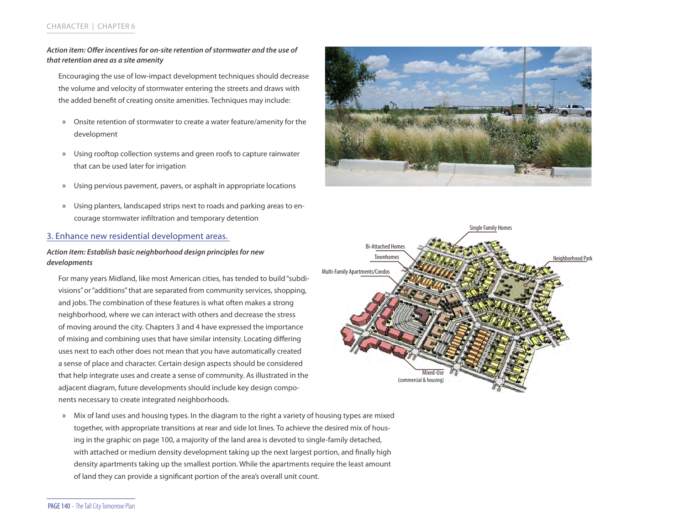#### CHARACTER | CHAPTER 6

#### *Action item: Offer incentives for on-site retention of stormwater and the use of that retention area as a site amenity*

Encouraging the use of low-impact development techniques should decrease the volume and velocity of stormwater entering the streets and draws with the added benefit of creating onsite amenities. Techniques may include:

- » Onsite retention of stormwater to create a water feature/amenity for the development
- » Using rooftop collection systems and green roofs to capture rainwater that can be used later for irrigation
- » Using pervious pavement, pavers, or asphalt in appropriate locations
- » Using planters, landscaped strips next to roads and parking areas to encourage stormwater infiltration and temporary detention

#### 3. Enhance new residential development areas.

#### *Action item: Establish basic neighborhood design principles for new developments*

For many years Midland, like most American cities, has tended to build "subdivisions" or "additions" that are separated from community services, shopping, and jobs. The combination of these features is what often makes a strong neighborhood, where we can interact with others and decrease the stress of moving around the city. Chapters 3 and 4 have expressed the importance of mixing and combining uses that have similar intensity. Locating differing uses next to each other does not mean that you have automatically created a sense of place and character. Certain design aspects should be considered that help integrate uses and create a sense of community. As illustrated in the adjacent diagram, future developments should include key design components necessary to create integrated neighborhoods.

» Mix of land uses and housing types. In the diagram to the right a variety of housing types are mixed together, with appropriate transitions at rear and side lot lines. To achieve the desired mix of housing in the graphic on page 100, a majority of the land area is devoted to single-family detached, with attached or medium density development taking up the next largest portion, and finally high density apartments taking up the smallest portion. While the apartments require the least amount of land they can provide a significant portion of the area's overall unit count.



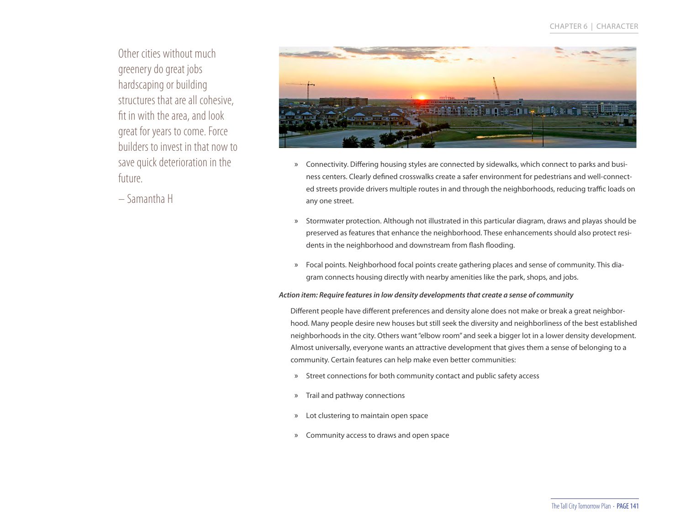Other cities without much greenery do great jobs hardscaping or building structures that are all cohesive, fit in with the area, and look great for years to come. Force builders to invest in that now to save quick deterioration in the future.

– Samantha H



- » Connectivity. Differing housing styles are connected by sidewalks, which connect to parks and business centers. Clearly defined crosswalks create a safer environment for pedestrians and well-connected streets provide drivers multiple routes in and through the neighborhoods, reducing traffic loads on any one street.
- » Stormwater protection. Although not illustrated in this particular diagram, draws and playas should be preserved as features that enhance the neighborhood. These enhancements should also protect residents in the neighborhood and downstream from flash flooding.
- » Focal points. Neighborhood focal points create gathering places and sense of community. This diagram connects housing directly with nearby amenities like the park, shops, and jobs.

#### *Action item: Require features in low density developments that create a sense of community*

Different people have different preferences and density alone does not make or break a great neighborhood. Many people desire new houses but still seek the diversity and neighborliness of the best established neighborhoods in the city. Others want "elbow room" and seek a bigger lot in a lower density development. Almost universally, everyone wants an attractive development that gives them a sense of belonging to a community. Certain features can help make even better communities:

- » Street connections for both community contact and public safety access
- » Trail and pathway connections
- » Lot clustering to maintain open space
- » Community access to draws and open space